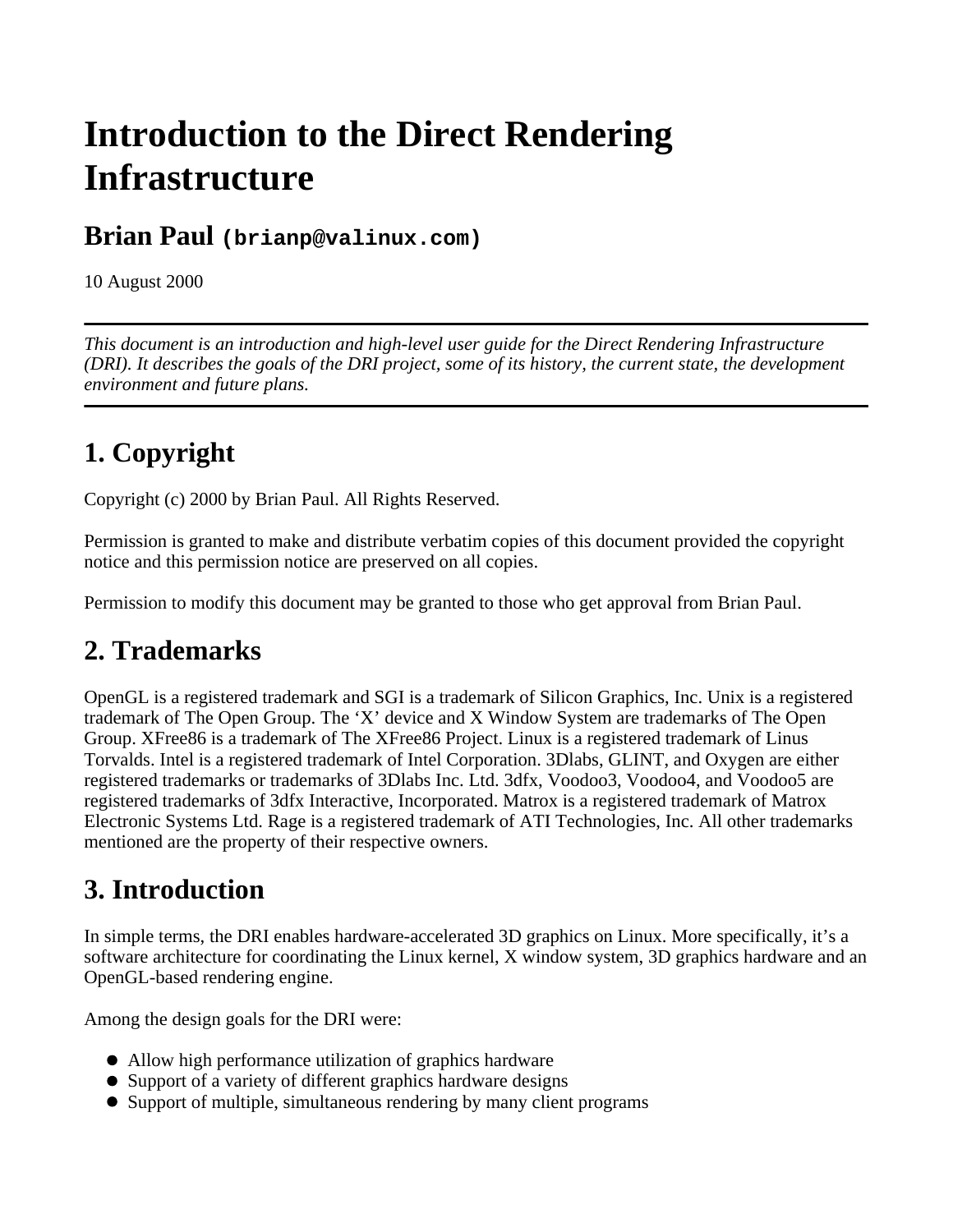# **Introduction to the Direct Rendering Infrastructure**

#### **Brian Paul (brianp@valinux.com)**

10 August 2000

*This document is an introduction and high-level user guide for the Direct Rendering Infrastructure (DRI). It describes the goals of the DRI project, some of its history, the current state, the development environment and future plans.* 

## **1. Copyright**

Copyright (c) 2000 by Brian Paul. All Rights Reserved.

Permission is granted to make and distribute verbatim copies of this document provided the copyright notice and this permission notice are preserved on all copies.

Permission to modify this document may be granted to those who get approval from Brian Paul.

### **2. Trademarks**

OpenGL is a registered trademark and SGI is a trademark of Silicon Graphics, Inc. Unix is a registered trademark of The Open Group. The 'X' device and X Window System are trademarks of The Open Group. XFree86 is a trademark of The XFree86 Project. Linux is a registered trademark of Linus Torvalds. Intel is a registered trademark of Intel Corporation. 3Dlabs, GLINT, and Oxygen are either registered trademarks or trademarks of 3Dlabs Inc. Ltd. 3dfx, Voodoo3, Voodoo4, and Voodoo5 are registered trademarks of 3dfx Interactive, Incorporated. Matrox is a registered trademark of Matrox Electronic Systems Ltd. Rage is a registered trademark of ATI Technologies, Inc. All other trademarks mentioned are the property of their respective owners.

### **3. Introduction**

In simple terms, the DRI enables hardware-accelerated 3D graphics on Linux. More specifically, it's a software architecture for coordinating the Linux kernel, X window system, 3D graphics hardware and an OpenGL-based rendering engine.

Among the design goals for the DRI were:

- Allow high performance utilization of graphics hardware
- Support of a variety of different graphics hardware designs
- Support of multiple, simultaneous rendering by many client programs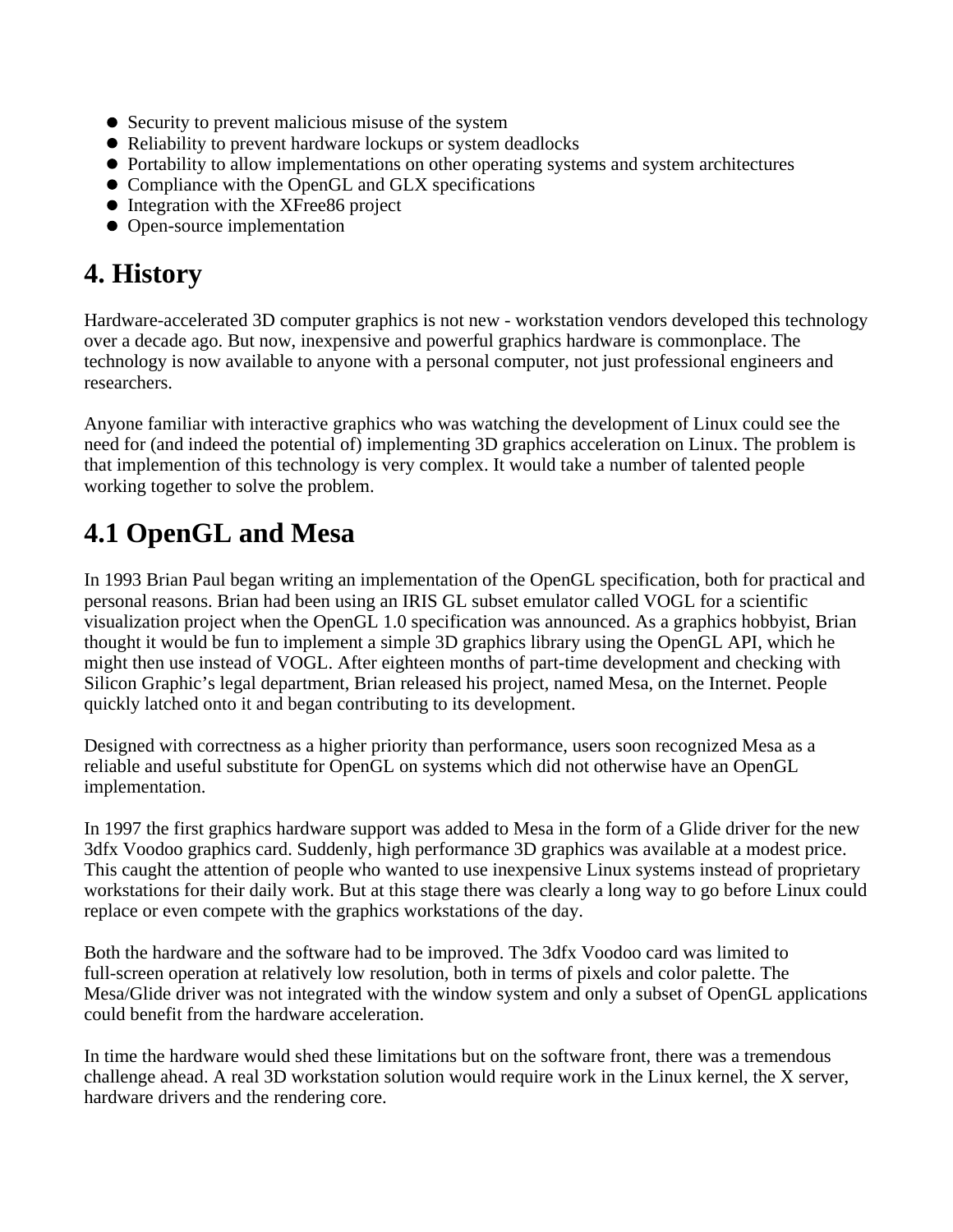- Security to prevent malicious misuse of the system
- Reliability to prevent hardware lockups or system deadlocks
- Portability to allow implementations on other operating systems and system architectures
- Compliance with the OpenGL and GLX specifications
- Integration with the XFree86 project
- Open-source implementation

## **4. History**

Hardware-accelerated 3D computer graphics is not new - workstation vendors developed this technology over a decade ago. But now, inexpensive and powerful graphics hardware is commonplace. The technology is now available to anyone with a personal computer, not just professional engineers and researchers.

Anyone familiar with interactive graphics who was watching the development of Linux could see the need for (and indeed the potential of) implementing 3D graphics acceleration on Linux. The problem is that implemention of this technology is very complex. It would take a number of talented people working together to solve the problem.

### **4.1 OpenGL and Mesa**

In 1993 Brian Paul began writing an implementation of the OpenGL specification, both for practical and personal reasons. Brian had been using an IRIS GL subset emulator called VOGL for a scientific visualization project when the OpenGL 1.0 specification was announced. As a graphics hobbyist, Brian thought it would be fun to implement a simple 3D graphics library using the OpenGL API, which he might then use instead of VOGL. After eighteen months of part-time development and checking with Silicon Graphic's legal department, Brian released his project, named Mesa, on the Internet. People quickly latched onto it and began contributing to its development.

Designed with correctness as a higher priority than performance, users soon recognized Mesa as a reliable and useful substitute for OpenGL on systems which did not otherwise have an OpenGL implementation.

In 1997 the first graphics hardware support was added to Mesa in the form of a Glide driver for the new 3dfx Voodoo graphics card. Suddenly, high performance 3D graphics was available at a modest price. This caught the attention of people who wanted to use inexpensive Linux systems instead of proprietary workstations for their daily work. But at this stage there was clearly a long way to go before Linux could replace or even compete with the graphics workstations of the day.

Both the hardware and the software had to be improved. The 3dfx Voodoo card was limited to full-screen operation at relatively low resolution, both in terms of pixels and color palette. The Mesa/Glide driver was not integrated with the window system and only a subset of OpenGL applications could benefit from the hardware acceleration.

In time the hardware would shed these limitations but on the software front, there was a tremendous challenge ahead. A real 3D workstation solution would require work in the Linux kernel, the X server, hardware drivers and the rendering core.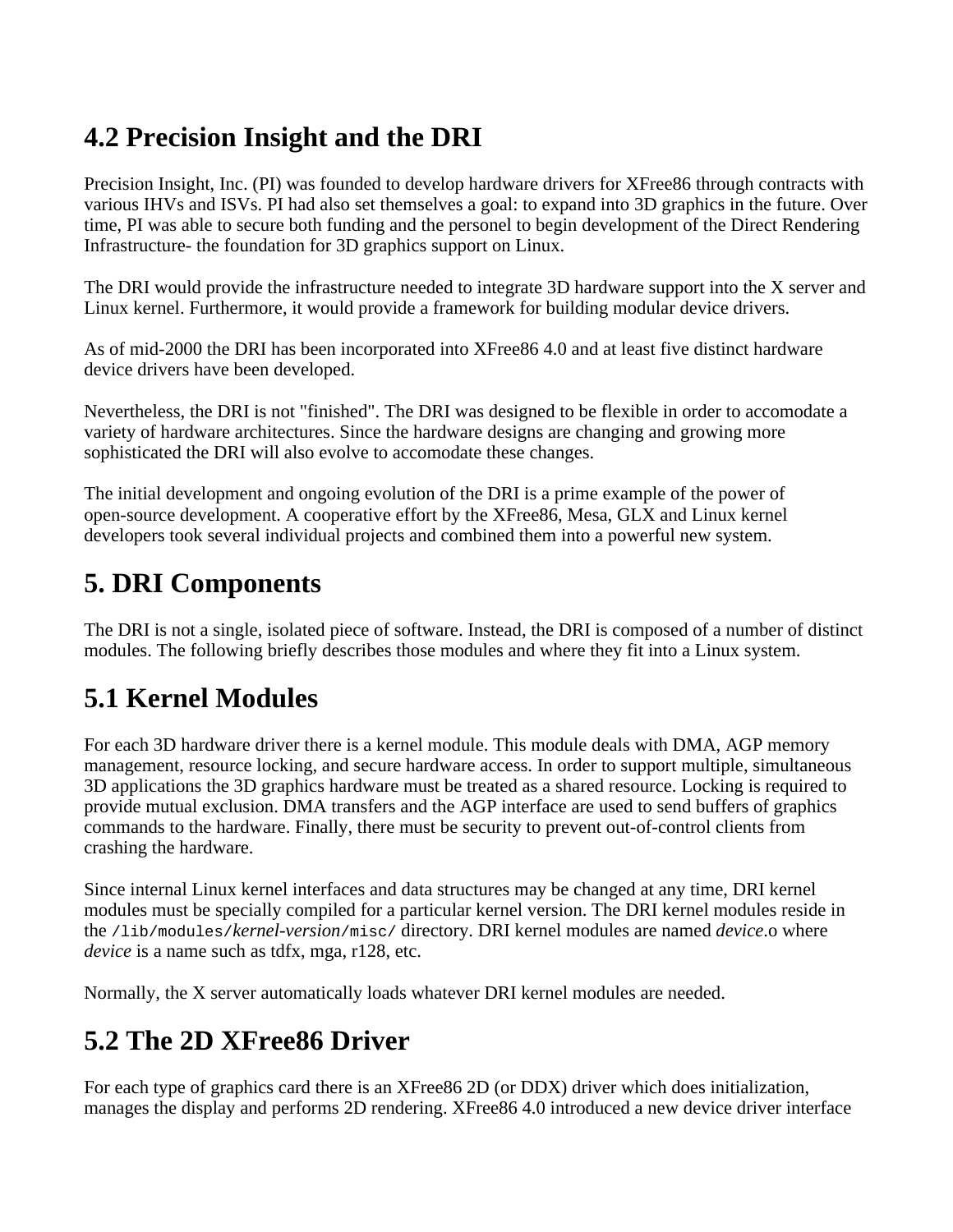## **4.2 Precision Insight and the DRI**

Precision Insight, Inc. (PI) was founded to develop hardware drivers for XFree86 through contracts with various IHVs and ISVs. PI had also set themselves a goal: to expand into 3D graphics in the future. Over time, PI was able to secure both funding and the personel to begin development of the Direct Rendering Infrastructure- the foundation for 3D graphics support on Linux.

The DRI would provide the infrastructure needed to integrate 3D hardware support into the X server and Linux kernel. Furthermore, it would provide a framework for building modular device drivers.

As of mid-2000 the DRI has been incorporated into XFree86 4.0 and at least five distinct hardware device drivers have been developed.

Nevertheless, the DRI is not "finished". The DRI was designed to be flexible in order to accomodate a variety of hardware architectures. Since the hardware designs are changing and growing more sophisticated the DRI will also evolve to accomodate these changes.

The initial development and ongoing evolution of the DRI is a prime example of the power of open-source development. A cooperative effort by the XFree86, Mesa, GLX and Linux kernel developers took several individual projects and combined them into a powerful new system.

## **5. DRI Components**

The DRI is not a single, isolated piece of software. Instead, the DRI is composed of a number of distinct modules. The following briefly describes those modules and where they fit into a Linux system.

## **5.1 Kernel Modules**

For each 3D hardware driver there is a kernel module. This module deals with DMA, AGP memory management, resource locking, and secure hardware access. In order to support multiple, simultaneous 3D applications the 3D graphics hardware must be treated as a shared resource. Locking is required to provide mutual exclusion. DMA transfers and the AGP interface are used to send buffers of graphics commands to the hardware. Finally, there must be security to prevent out-of-control clients from crashing the hardware.

Since internal Linux kernel interfaces and data structures may be changed at any time, DRI kernel modules must be specially compiled for a particular kernel version. The DRI kernel modules reside in the /lib/modules/*kernel-version*/misc/ directory. DRI kernel modules are named *device*.o where *device* is a name such as tdfx, mga, r128, etc.

Normally, the X server automatically loads whatever DRI kernel modules are needed.

## **5.2 The 2D XFree86 Driver**

For each type of graphics card there is an XFree86 2D (or DDX) driver which does initialization, manages the display and performs 2D rendering. XFree86 4.0 introduced a new device driver interface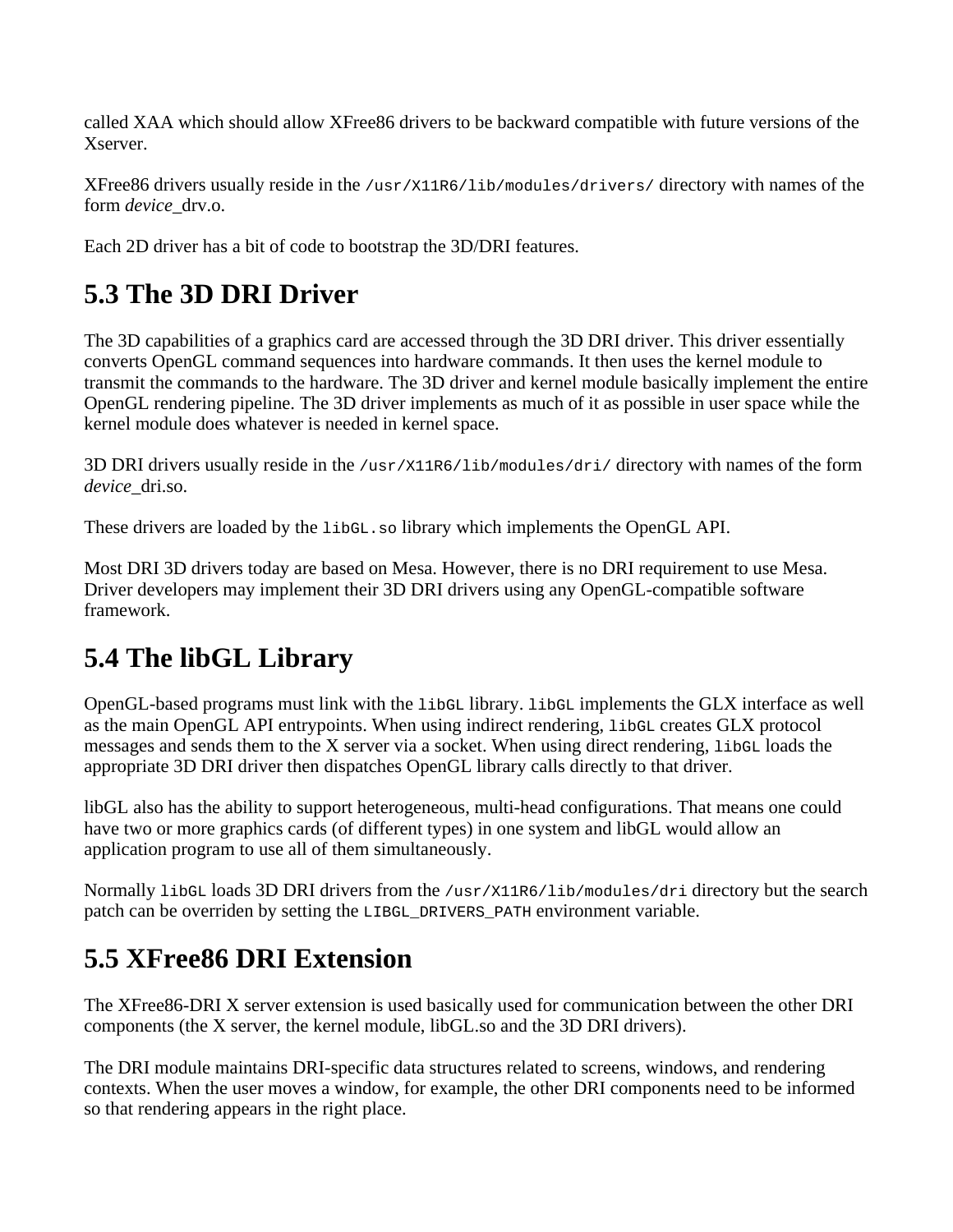called XAA which should allow XFree86 drivers to be backward compatible with future versions of the Xserver.

XFree86 drivers usually reside in the /usr/X11R6/lib/modules/drivers/ directory with names of the form *device*\_drv.o.

Each 2D driver has a bit of code to bootstrap the 3D/DRI features.

## **5.3 The 3D DRI Driver**

The 3D capabilities of a graphics card are accessed through the 3D DRI driver. This driver essentially converts OpenGL command sequences into hardware commands. It then uses the kernel module to transmit the commands to the hardware. The 3D driver and kernel module basically implement the entire OpenGL rendering pipeline. The 3D driver implements as much of it as possible in user space while the kernel module does whatever is needed in kernel space.

3D DRI drivers usually reside in the /usr/X11R6/lib/modules/dri/ directory with names of the form *device*\_dri.so.

These drivers are loaded by the libGL.so library which implements the OpenGL API.

Most DRI 3D drivers today are based on Mesa. However, there is no DRI requirement to use Mesa. Driver developers may implement their 3D DRI drivers using any OpenGL-compatible software framework.

### **5.4 The libGL Library**

OpenGL-based programs must link with the libGL library. libGL implements the GLX interface as well as the main OpenGL API entrypoints. When using indirect rendering, libGL creates GLX protocol messages and sends them to the X server via a socket. When using direct rendering, libGL loads the appropriate 3D DRI driver then dispatches OpenGL library calls directly to that driver.

libGL also has the ability to support heterogeneous, multi-head configurations. That means one could have two or more graphics cards (of different types) in one system and libGL would allow an application program to use all of them simultaneously.

Normally libGL loads 3D DRI drivers from the /usr/X11R6/lib/modules/dri directory but the search patch can be overriden by setting the LIBGL\_DRIVERS\_PATH environment variable.

### **5.5 XFree86 DRI Extension**

The XFree86-DRI X server extension is used basically used for communication between the other DRI components (the X server, the kernel module, libGL.so and the 3D DRI drivers).

The DRI module maintains DRI-specific data structures related to screens, windows, and rendering contexts. When the user moves a window, for example, the other DRI components need to be informed so that rendering appears in the right place.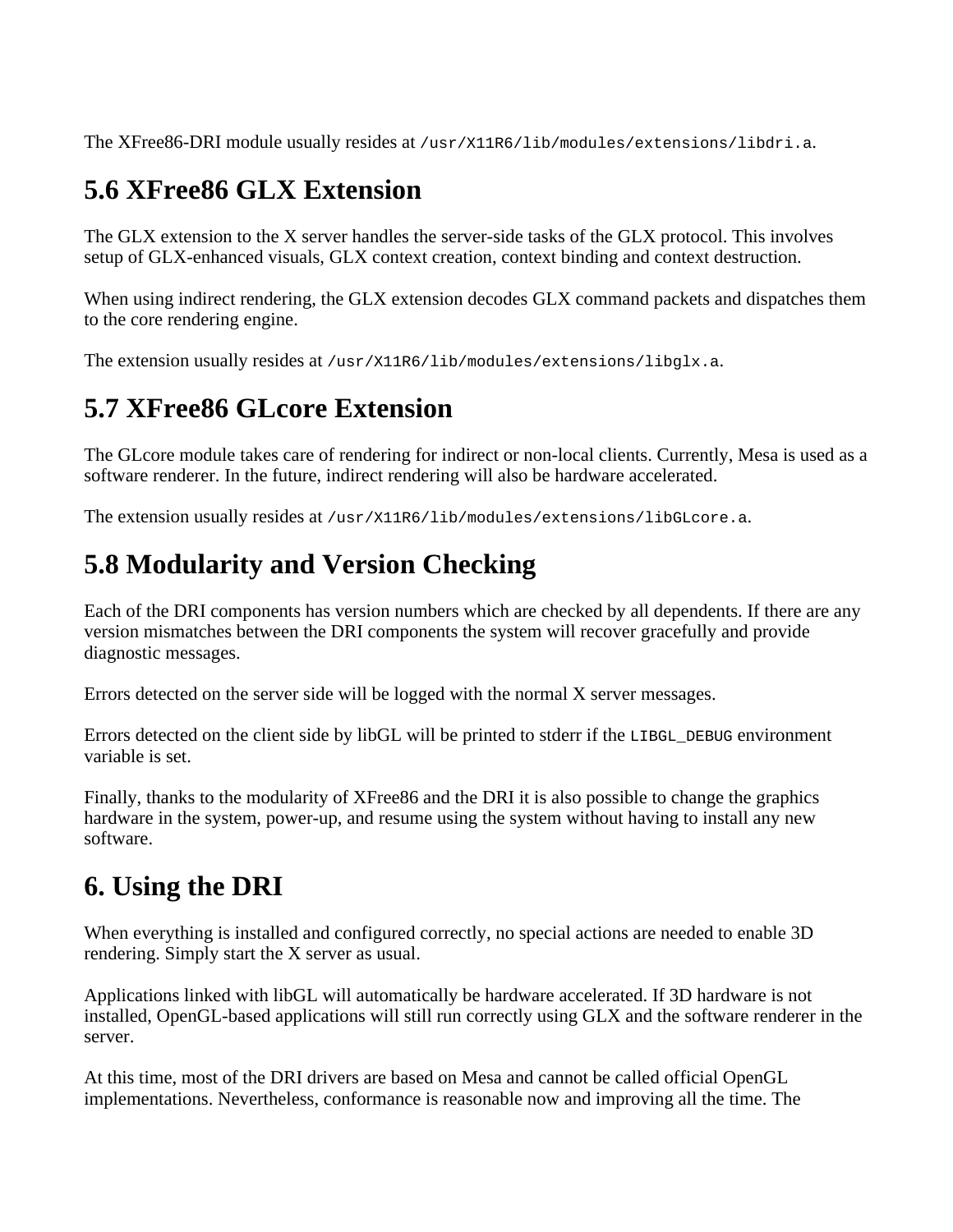The XFree86-DRI module usually resides at /usr/X11R6/lib/modules/extensions/libdri.a.

#### **5.6 XFree86 GLX Extension**

The GLX extension to the X server handles the server-side tasks of the GLX protocol. This involves setup of GLX-enhanced visuals, GLX context creation, context binding and context destruction.

When using indirect rendering, the GLX extension decodes GLX command packets and dispatches them to the core rendering engine.

The extension usually resides at /usr/X11R6/lib/modules/extensions/libglx.a.

#### **5.7 XFree86 GLcore Extension**

The GLcore module takes care of rendering for indirect or non-local clients. Currently, Mesa is used as a software renderer. In the future, indirect rendering will also be hardware accelerated.

The extension usually resides at /usr/X11R6/lib/modules/extensions/libGLcore.a.

## **5.8 Modularity and Version Checking**

Each of the DRI components has version numbers which are checked by all dependents. If there are any version mismatches between the DRI components the system will recover gracefully and provide diagnostic messages.

Errors detected on the server side will be logged with the normal X server messages.

Errors detected on the client side by libGL will be printed to stderr if the LIBGL\_DEBUG environment variable is set.

Finally, thanks to the modularity of XFree86 and the DRI it is also possible to change the graphics hardware in the system, power-up, and resume using the system without having to install any new software.

### **6. Using the DRI**

When everything is installed and configured correctly, no special actions are needed to enable 3D rendering. Simply start the X server as usual.

Applications linked with libGL will automatically be hardware accelerated. If 3D hardware is not installed, OpenGL-based applications will still run correctly using GLX and the software renderer in the server.

At this time, most of the DRI drivers are based on Mesa and cannot be called official OpenGL implementations. Nevertheless, conformance is reasonable now and improving all the time. The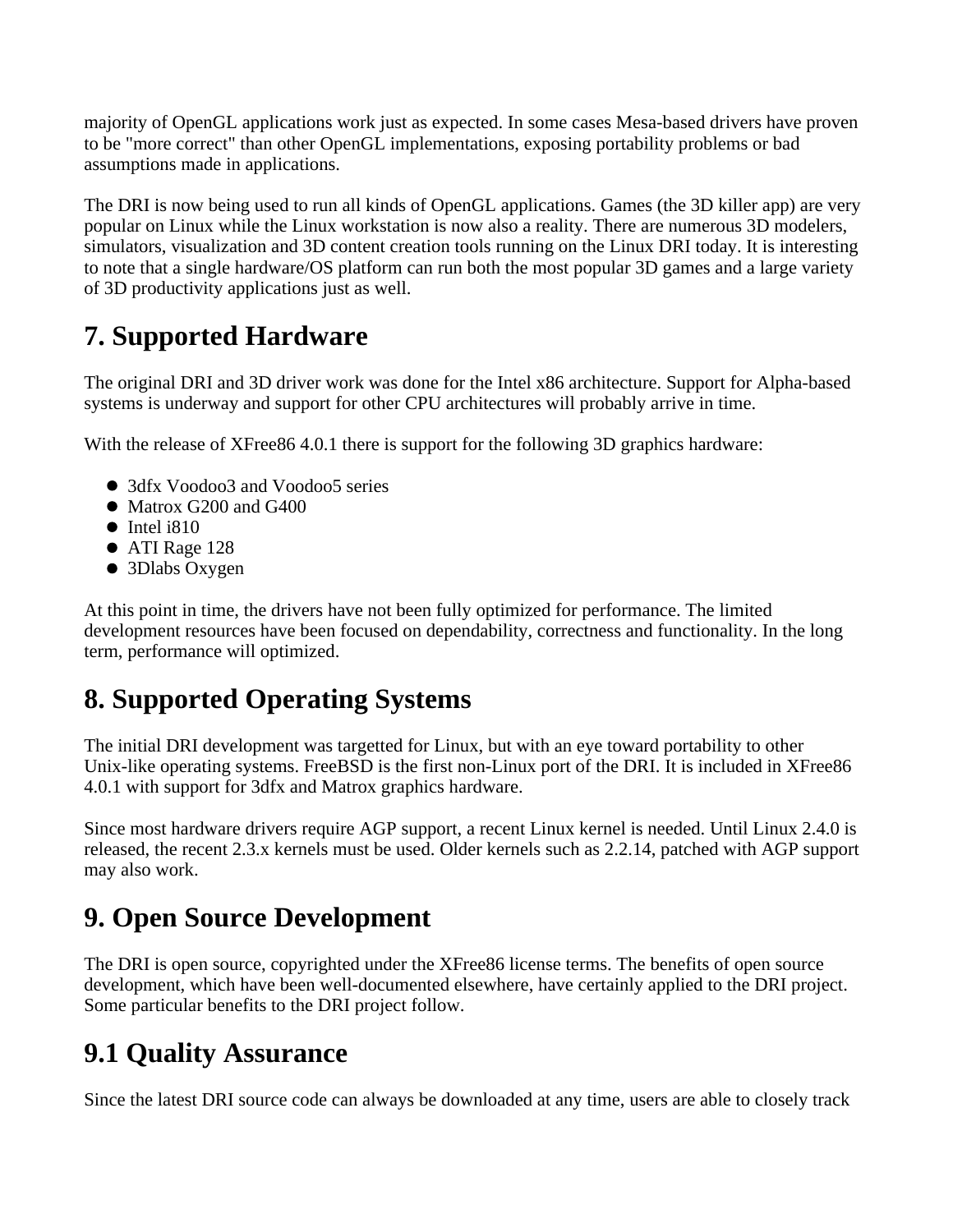majority of OpenGL applications work just as expected. In some cases Mesa-based drivers have proven to be "more correct" than other OpenGL implementations, exposing portability problems or bad assumptions made in applications.

The DRI is now being used to run all kinds of OpenGL applications. Games (the 3D killer app) are very popular on Linux while the Linux workstation is now also a reality. There are numerous 3D modelers, simulators, visualization and 3D content creation tools running on the Linux DRI today. It is interesting to note that a single hardware/OS platform can run both the most popular 3D games and a large variety of 3D productivity applications just as well.

## **7. Supported Hardware**

The original DRI and 3D driver work was done for the Intel x86 architecture. Support for Alpha-based systems is underway and support for other CPU architectures will probably arrive in time.

With the release of XFree86 4.0.1 there is support for the following 3D graphics hardware:

- 3dfx Voodoo3 and Voodoo5 series
- Matrox G200 and G400
- $\bullet$  Intel i810
- ATI Rage 128
- 3Dlabs Oxygen

At this point in time, the drivers have not been fully optimized for performance. The limited development resources have been focused on dependability, correctness and functionality. In the long term, performance will optimized.

## **8. Supported Operating Systems**

The initial DRI development was targetted for Linux, but with an eye toward portability to other Unix-like operating systems. FreeBSD is the first non-Linux port of the DRI. It is included in XFree86 4.0.1 with support for 3dfx and Matrox graphics hardware.

Since most hardware drivers require AGP support, a recent Linux kernel is needed. Until Linux 2.4.0 is released, the recent 2.3.x kernels must be used. Older kernels such as 2.2.14, patched with AGP support may also work.

## **9. Open Source Development**

The DRI is open source, copyrighted under the XFree86 license terms. The benefits of open source development, which have been well-documented elsewhere, have certainly applied to the DRI project. Some particular benefits to the DRI project follow.

#### **9.1 Quality Assurance**

Since the latest DRI source code can always be downloaded at any time, users are able to closely track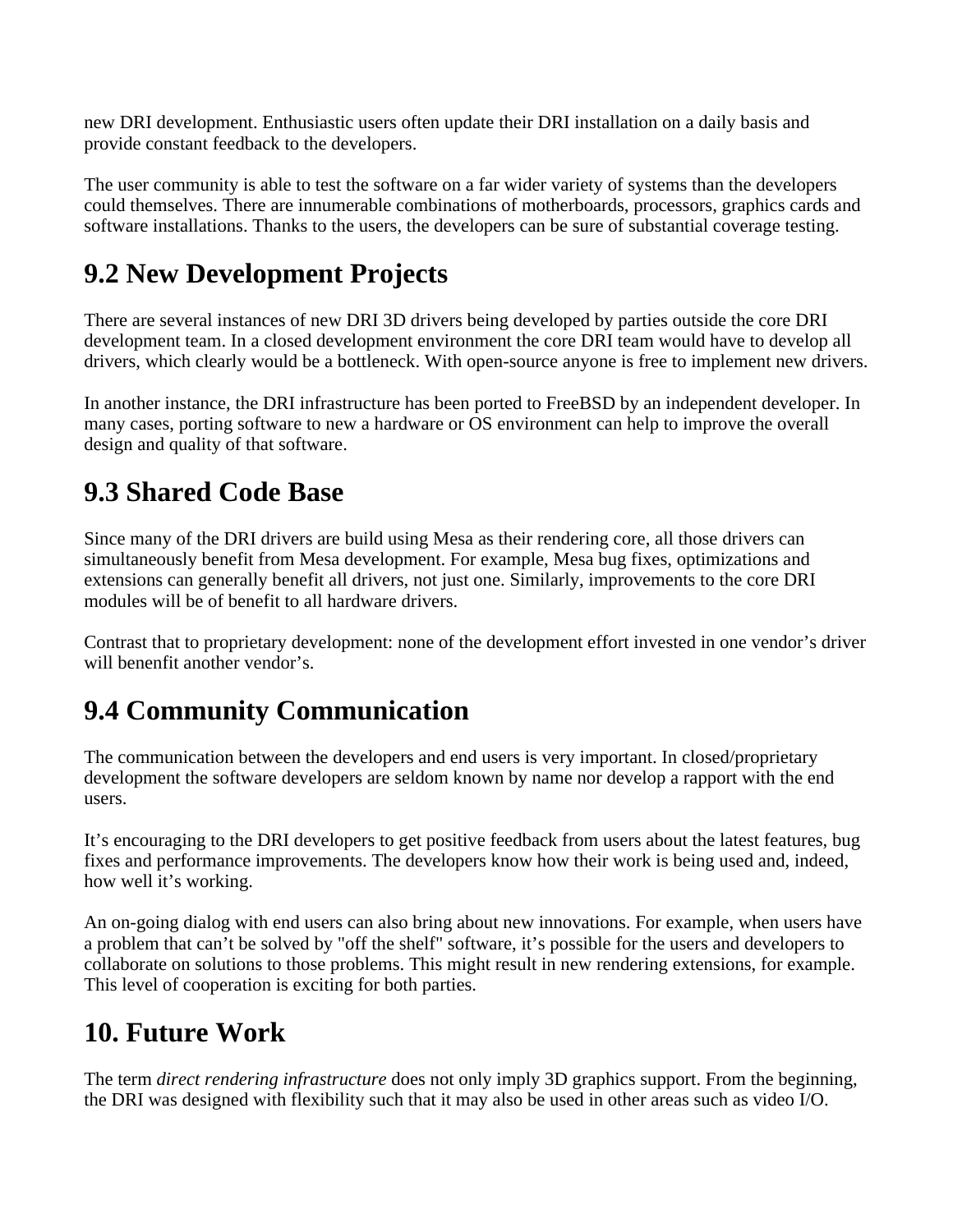new DRI development. Enthusiastic users often update their DRI installation on a daily basis and provide constant feedback to the developers.

The user community is able to test the software on a far wider variety of systems than the developers could themselves. There are innumerable combinations of motherboards, processors, graphics cards and software installations. Thanks to the users, the developers can be sure of substantial coverage testing.

## **9.2 New Development Projects**

There are several instances of new DRI 3D drivers being developed by parties outside the core DRI development team. In a closed development environment the core DRI team would have to develop all drivers, which clearly would be a bottleneck. With open-source anyone is free to implement new drivers.

In another instance, the DRI infrastructure has been ported to FreeBSD by an independent developer. In many cases, porting software to new a hardware or OS environment can help to improve the overall design and quality of that software.

#### **9.3 Shared Code Base**

Since many of the DRI drivers are build using Mesa as their rendering core, all those drivers can simultaneously benefit from Mesa development. For example, Mesa bug fixes, optimizations and extensions can generally benefit all drivers, not just one. Similarly, improvements to the core DRI modules will be of benefit to all hardware drivers.

Contrast that to proprietary development: none of the development effort invested in one vendor's driver will benenfit another vendor's.

## **9.4 Community Communication**

The communication between the developers and end users is very important. In closed/proprietary development the software developers are seldom known by name nor develop a rapport with the end users.

It's encouraging to the DRI developers to get positive feedback from users about the latest features, bug fixes and performance improvements. The developers know how their work is being used and, indeed, how well it's working.

An on-going dialog with end users can also bring about new innovations. For example, when users have a problem that can't be solved by "off the shelf" software, it's possible for the users and developers to collaborate on solutions to those problems. This might result in new rendering extensions, for example. This level of cooperation is exciting for both parties.

### **10. Future Work**

The term *direct rendering infrastructure* does not only imply 3D graphics support. From the beginning, the DRI was designed with flexibility such that it may also be used in other areas such as video I/O.